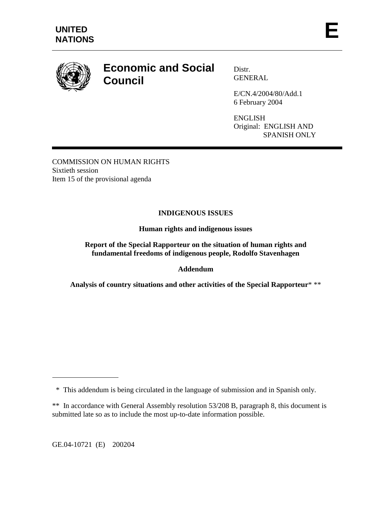

# **Economic and Social Council**

Distr. **GENERAL** 

E/CN.4/2004/80/Add.1 6 February 2004

ENGLISH Original: ENGLISH AND SPANISH ONLY

COMMISSION ON HUMAN RIGHTS Sixtieth session Item 15 of the provisional agenda

# **INDIGENOUS ISSUES**

**Human rights and indigenous issues** 

**Report of the Special Rapporteur on the situation of human rights and fundamental freedoms of indigenous people, Rodolfo Stavenhagen** 

# **Addendum**

**Analysis of country situations and other activities of the Special Rapporteur**\* \*\*

GE.04-10721 (E) 200204

 $\overline{a}$ 

 <sup>\*</sup> This addendum is being circulated in the language of submission and in Spanish only.

<sup>\*\*</sup> In accordance with General Assembly resolution 53/208 B, paragraph 8, this document is submitted late so as to include the most up-to-date information possible.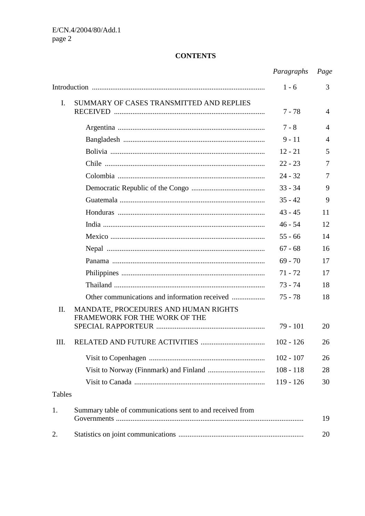# **CONTENTS**

|                |                                                           | Paragraphs  | Page           |
|----------------|-----------------------------------------------------------|-------------|----------------|
|                |                                                           | $1 - 6$     | 3              |
| $\mathbf{I}$ . | SUMMARY OF CASES TRANSMITTED AND REPLIES                  | $7 - 78$    | 4              |
|                |                                                           | $7 - 8$     | $\overline{4}$ |
|                |                                                           | $9 - 11$    | $\overline{4}$ |
|                |                                                           | $12 - 21$   | 5              |
|                |                                                           | $22 - 23$   | $\overline{7}$ |
|                |                                                           | $24 - 32$   | $\tau$         |
|                |                                                           | $33 - 34$   | 9              |
|                |                                                           | $35 - 42$   | 9              |
|                |                                                           | $43 - 45$   | 11             |
|                |                                                           | $46 - 54$   | 12             |
|                |                                                           | $55 - 66$   | 14             |
|                |                                                           | $67 - 68$   | 16             |
|                |                                                           | $69 - 70$   | 17             |
|                |                                                           | $71 - 72$   | 17             |
|                |                                                           | $73 - 74$   | 18             |
|                | Other communications and information received             | $75 - 78$   | 18             |
| П.             | MANDATE, PROCEDURES AND HUMAN RIGHTS                      |             |                |
|                | FRAMEWORK FOR THE WORK OF THE                             | $79 - 101$  | 20             |
| III.           |                                                           | $102 - 126$ | 26             |
|                |                                                           | $102 - 107$ | 26             |
|                |                                                           | $108 - 118$ | 28             |
|                |                                                           | $119 - 126$ | 30             |
| <b>Tables</b>  |                                                           |             |                |
| 1.             | Summary table of communications sent to and received from |             | 19             |
| 2.             |                                                           |             | 20             |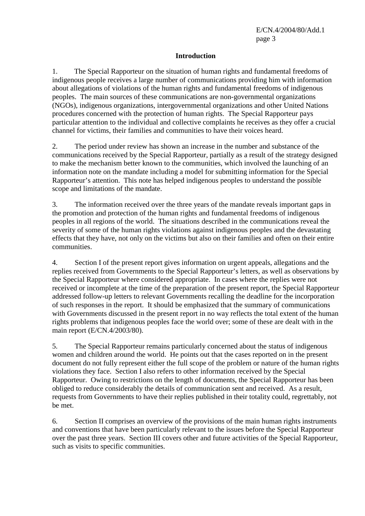## **Introduction**

1. The Special Rapporteur on the situation of human rights and fundamental freedoms of indigenous people receives a large number of communications providing him with information about allegations of violations of the human rights and fundamental freedoms of indigenous peoples. The main sources of these communications are non-governmental organizations (NGOs), indigenous organizations, intergovernmental organizations and other United Nations procedures concerned with the protection of human rights. The Special Rapporteur pays particular attention to the individual and collective complaints he receives as they offer a crucial channel for victims, their families and communities to have their voices heard.

2. The period under review has shown an increase in the number and substance of the communications received by the Special Rapporteur, partially as a result of the strategy designed to make the mechanism better known to the communities, which involved the launching of an information note on the mandate including a model for submitting information for the Special Rapporteur's attention. This note has helped indigenous peoples to understand the possible scope and limitations of the mandate.

3. The information received over the three years of the mandate reveals important gaps in the promotion and protection of the human rights and fundamental freedoms of indigenous peoples in all regions of the world. The situations described in the communications reveal the severity of some of the human rights violations against indigenous peoples and the devastating effects that they have, not only on the victims but also on their families and often on their entire communities.

4. Section I of the present report gives information on urgent appeals, allegations and the replies received from Governments to the Special Rapporteur's letters, as well as observations by the Special Rapporteur where considered appropriate. In cases where the replies were not received or incomplete at the time of the preparation of the present report, the Special Rapporteur addressed follow-up letters to relevant Governments recalling the deadline for the incorporation of such responses in the report. It should be emphasized that the summary of communications with Governments discussed in the present report in no way reflects the total extent of the human rights problems that indigenous peoples face the world over; some of these are dealt with in the main report (E/CN.4/2003/80).

5. The Special Rapporteur remains particularly concerned about the status of indigenous women and children around the world. He points out that the cases reported on in the present document do not fully represent either the full scope of the problem or nature of the human rights violations they face. Section I also refers to other information received by the Special Rapporteur. Owing to restrictions on the length of documents, the Special Rapporteur has been obliged to reduce considerably the details of communication sent and received. As a result, requests from Governments to have their replies published in their totality could, regrettably, not be met.

6. Section II comprises an overview of the provisions of the main human rights instruments and conventions that have been particularly relevant to the issues before the Special Rapporteur over the past three years. Section III covers other and future activities of the Special Rapporteur, such as visits to specific communities.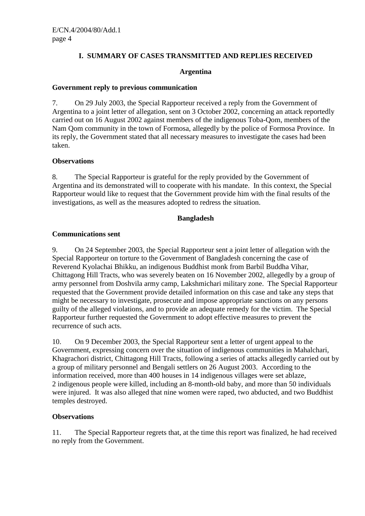# **I. SUMMARY OF CASES TRANSMITTED AND REPLIES RECEIVED**

#### **Argentina**

#### **Government reply to previous communication**

7. On 29 July 2003, the Special Rapporteur received a reply from the Government of Argentina to a joint letter of allegation, sent on 3 October 2002, concerning an attack reportedly carried out on 16 August 2002 against members of the indigenous Toba-Qom, members of the Nam Qom community in the town of Formosa, allegedly by the police of Formosa Province. In its reply, the Government stated that all necessary measures to investigate the cases had been taken.

#### **Observations**

8. The Special Rapporteur is grateful for the reply provided by the Government of Argentina and its demonstrated will to cooperate with his mandate. In this context, the Special Rapporteur would like to request that the Government provide him with the final results of the investigations, as well as the measures adopted to redress the situation.

#### **Bangladesh**

#### **Communications sent**

9. On 24 September 2003, the Special Rapporteur sent a joint letter of allegation with the Special Rapporteur on torture to the Government of Bangladesh concerning the case of Reverend Kyolachai Bhikku, an indigenous Buddhist monk from Barbil Buddha Vihar, Chittagong Hill Tracts, who was severely beaten on 16 November 2002, allegedly by a group of army personnel from Doshvila army camp, Lakshmichari military zone. The Special Rapporteur requested that the Government provide detailed information on this case and take any steps that might be necessary to investigate, prosecute and impose appropriate sanctions on any persons guilty of the alleged violations, and to provide an adequate remedy for the victim. The Special Rapporteur further requested the Government to adopt effective measures to prevent the recurrence of such acts.

10. On 9 December 2003, the Special Rapporteur sent a letter of urgent appeal to the Government, expressing concern over the situation of indigenous communities in Mahalchari, Khagrachori district, Chittagong Hill Tracts, following a series of attacks allegedly carried out by a group of military personnel and Bengali settlers on 26 August 2003. According to the information received, more than 400 houses in 14 indigenous villages were set ablaze, 2 indigenous people were killed, including an 8-month-old baby, and more than 50 individuals were injured. It was also alleged that nine women were raped, two abducted, and two Buddhist temples destroyed.

# **Observations**

11. The Special Rapporteur regrets that, at the time this report was finalized, he had received no reply from the Government.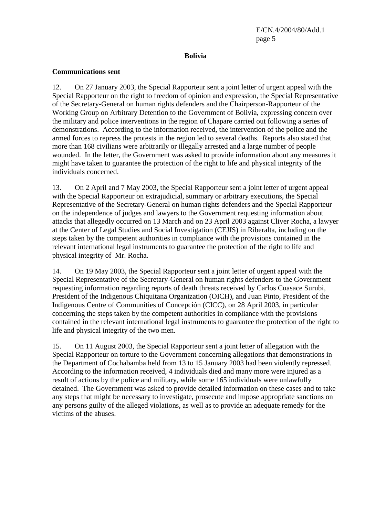## **Bolivia**

## **Communications sent**

12. On 27 January 2003, the Special Rapporteur sent a joint letter of urgent appeal with the Special Rapporteur on the right to freedom of opinion and expression, the Special Representative of the Secretary-General on human rights defenders and the Chairperson-Rapporteur of the Working Group on Arbitrary Detention to the Government of Bolivia, expressing concern over the military and police interventions in the region of Chapare carried out following a series of demonstrations. According to the information received, the intervention of the police and the armed forces to repress the protests in the region led to several deaths. Reports also stated that more than 168 civilians were arbitrarily or illegally arrested and a large number of people wounded. In the letter, the Government was asked to provide information about any measures it might have taken to guarantee the protection of the right to life and physical integrity of the individuals concerned.

13. On 2 April and 7 May 2003, the Special Rapporteur sent a joint letter of urgent appeal with the Special Rapporteur on extrajudicial, summary or arbitrary executions, the Special Representative of the Secretary-General on human rights defenders and the Special Rapporteur on the independence of judges and lawyers to the Government requesting information about attacks that allegedly occurred on 13 March and on 23 April 2003 against Cliver Rocha, a lawyer at the Center of Legal Studies and Social Investigation (CEJIS) in Riberalta, including on the steps taken by the competent authorities in compliance with the provisions contained in the relevant international legal instruments to guarantee the protection of the right to life and physical integrity of Mr. Rocha.

14. On 19 May 2003, the Special Rapporteur sent a joint letter of urgent appeal with the Special Representative of the Secretary-General on human rights defenders to the Government requesting information regarding reports of death threats received by Carlos Cuasace Surubi, President of the Indigenous Chiquitana Organization (OICH), and Juan Pinto, President of the Indigenous Centre of Communities of Concepción (CICC), on 28 April 2003, in particular concerning the steps taken by the competent authorities in compliance with the provisions contained in the relevant international legal instruments to guarantee the protection of the right to life and physical integrity of the two men.

15. On 11 August 2003, the Special Rapporteur sent a joint letter of allegation with the Special Rapporteur on torture to the Government concerning allegations that demonstrations in the Department of Cochabamba held from 13 to 15 January 2003 had been violently repressed. According to the information received, 4 individuals died and many more were injured as a result of actions by the police and military, while some 165 individuals were unlawfully detained. The Government was asked to provide detailed information on these cases and to take any steps that might be necessary to investigate, prosecute and impose appropriate sanctions on any persons guilty of the alleged violations, as well as to provide an adequate remedy for the victims of the abuses.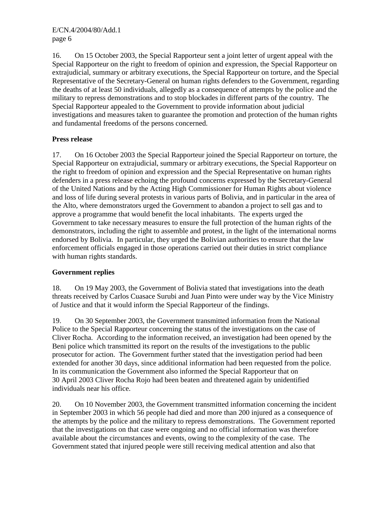16. On 15 October 2003, the Special Rapporteur sent a joint letter of urgent appeal with the Special Rapporteur on the right to freedom of opinion and expression, the Special Rapporteur on extrajudicial, summary or arbitrary executions, the Special Rapporteur on torture, and the Special Representative of the Secretary-General on human rights defenders to the Government, regarding the deaths of at least 50 individuals, allegedly as a consequence of attempts by the police and the military to repress demonstrations and to stop blockades in different parts of the country. The Special Rapporteur appealed to the Government to provide information about judicial investigations and measures taken to guarantee the promotion and protection of the human rights and fundamental freedoms of the persons concerned.

# **Press release**

17. On 16 October 2003 the Special Rapporteur joined the Special Rapporteur on torture, the Special Rapporteur on extrajudicial, summary or arbitrary executions, the Special Rapporteur on the right to freedom of opinion and expression and the Special Representative on human rights defenders in a press release echoing the profound concerns expressed by the Secretary-General of the United Nations and by the Acting High Commissioner for Human Rights about violence and loss of life during several protests in various parts of Bolivia, and in particular in the area of the Alto, where demonstrators urged the Government to abandon a project to sell gas and to approve a programme that would benefit the local inhabitants. The experts urged the Government to take necessary measures to ensure the full protection of the human rights of the demonstrators, including the right to assemble and protest, in the light of the international norms endorsed by Bolivia. In particular, they urged the Bolivian authorities to ensure that the law enforcement officials engaged in those operations carried out their duties in strict compliance with human rights standards.

# **Government replies**

18. On 19 May 2003, the Government of Bolivia stated that investigations into the death threats received by Carlos Cuasace Surubi and Juan Pinto were under way by the Vice Ministry of Justice and that it would inform the Special Rapporteur of the findings.

19. On 30 September 2003, the Government transmitted information from the National Police to the Special Rapporteur concerning the status of the investigations on the case of Cliver Rocha. According to the information received, an investigation had been opened by the Beni police which transmitted its report on the results of the investigations to the public prosecutor for action. The Government further stated that the investigation period had been extended for another 30 days, since additional information had been requested from the police. In its communication the Government also informed the Special Rapporteur that on 30 April 2003 Cliver Rocha Rojo had been beaten and threatened again by unidentified individuals near his office.

20. On 10 November 2003, the Government transmitted information concerning the incident in September 2003 in which 56 people had died and more than 200 injured as a consequence of the attempts by the police and the military to repress demonstrations. The Government reported that the investigations on that case were ongoing and no official information was therefore available about the circumstances and events, owing to the complexity of the case. The Government stated that injured people were still receiving medical attention and also that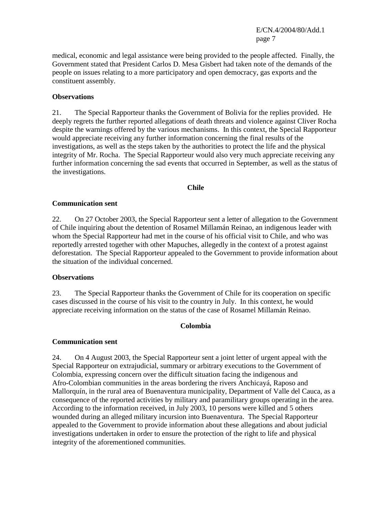E/CN.4/2004/80/Add.1 page 7

medical, economic and legal assistance were being provided to the people affected. Finally, the Government stated that President Carlos D. Mesa Gisbert had taken note of the demands of the people on issues relating to a more participatory and open democracy, gas exports and the constituent assembly.

#### **Observations**

21. The Special Rapporteur thanks the Government of Bolivia for the replies provided. He deeply regrets the further reported allegations of death threats and violence against Cliver Rocha despite the warnings offered by the various mechanisms. In this context, the Special Rapporteur would appreciate receiving any further information concerning the final results of the investigations, as well as the steps taken by the authorities to protect the life and the physical integrity of Mr. Rocha. The Special Rapporteur would also very much appreciate receiving any further information concerning the sad events that occurred in September, as well as the status of the investigations.

#### **Chile**

#### **Communication sent**

22. On 27 October 2003, the Special Rapporteur sent a letter of allegation to the Government of Chile inquiring about the detention of Rosamel Millamán Reinao, an indigenous leader with whom the Special Rapporteur had met in the course of his official visit to Chile, and who was reportedly arrested together with other Mapuches, allegedly in the context of a protest against deforestation. The Special Rapporteur appealed to the Government to provide information about the situation of the individual concerned.

#### **Observations**

23. The Special Rapporteur thanks the Government of Chile for its cooperation on specific cases discussed in the course of his visit to the country in July. In this context, he would appreciate receiving information on the status of the case of Rosamel Millamán Reinao.

#### **Colombia**

#### **Communication sent**

24. On 4 August 2003, the Special Rapporteur sent a joint letter of urgent appeal with the Special Rapporteur on extrajudicial, summary or arbitrary executions to the Government of Colombia, expressing concern over the difficult situation facing the indigenous and Afro-Colombian communities in the areas bordering the rivers Anchicayá, Raposo and Mallorquín, in the rural area of Buenaventura municipality, Department of Valle del Cauca, as a consequence of the reported activities by military and paramilitary groups operating in the area. According to the information received, in July 2003, 10 persons were killed and 5 others wounded during an alleged military incursion into Buenaventura. The Special Rapporteur appealed to the Government to provide information about these allegations and about judicial investigations undertaken in order to ensure the protection of the right to life and physical integrity of the aforementioned communities.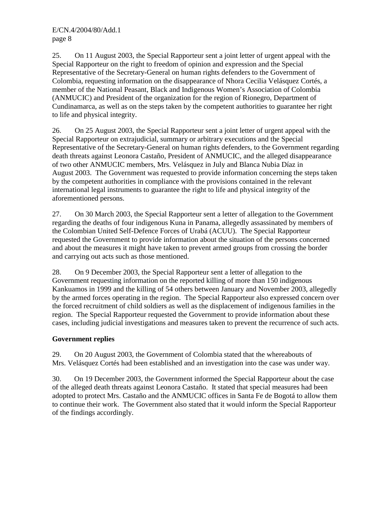E/CN.4/2004/80/Add.1 page 8

25. On 11 August 2003, the Special Rapporteur sent a joint letter of urgent appeal with the Special Rapporteur on the right to freedom of opinion and expression and the Special Representative of the Secretary-General on human rights defenders to the Government of Colombia, requesting information on the disappearance of Nhora Cecilia Velásquez Cortés, a member of the National Peasant, Black and Indigenous Women's Association of Colombia (ANMUCIC) and President of the organization for the region of Rionegro, Department of Cundinamarca, as well as on the steps taken by the competent authorities to guarantee her right to life and physical integrity.

26. On 25 August 2003, the Special Rapporteur sent a joint letter of urgent appeal with the Special Rapporteur on extrajudicial, summary or arbitrary executions and the Special Representative of the Secretary-General on human rights defenders, to the Government regarding death threats against Leonora Castaño, President of ANMUCIC, and the alleged disappearance of two other ANMUCIC members, Mrs. Velásquez in July and Blanca Nubia Díaz in August 2003. The Government was requested to provide information concerning the steps taken by the competent authorities in compliance with the provisions contained in the relevant international legal instruments to guarantee the right to life and physical integrity of the aforementioned persons.

27. On 30 March 2003, the Special Rapporteur sent a letter of allegation to the Government regarding the deaths of four indigenous Kuna in Panama, allegedly assassinated by members of the Colombian United Self-Defence Forces of Urabá (ACUU). The Special Rapporteur requested the Government to provide information about the situation of the persons concerned and about the measures it might have taken to prevent armed groups from crossing the border and carrying out acts such as those mentioned.

28. On 9 December 2003, the Special Rapporteur sent a letter of allegation to the Government requesting information on the reported killing of more than 150 indigenous Kankuamos in 1999 and the killing of 54 others between January and November 2003, allegedly by the armed forces operating in the region. The Special Rapporteur also expressed concern over the forced recruitment of child soldiers as well as the displacement of indigenous families in the region. The Special Rapporteur requested the Government to provide information about these cases, including judicial investigations and measures taken to prevent the recurrence of such acts.

# **Government replies**

29. On 20 August 2003, the Government of Colombia stated that the whereabouts of Mrs. Velásquez Cortés had been established and an investigation into the case was under way.

30. On 19 December 2003, the Government informed the Special Rapporteur about the case of the alleged death threats against Leonora Castaño. It stated that special measures had been adopted to protect Mrs. Castaño and the ANMUCIC offices in Santa Fe de Bogotá to allow them to continue their work. The Government also stated that it would inform the Special Rapporteur of the findings accordingly.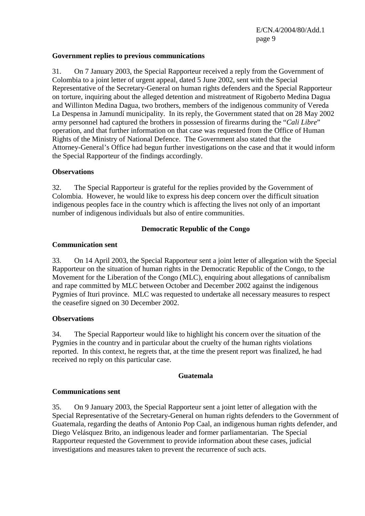## **Government replies to previous communications**

31. On 7 January 2003, the Special Rapporteur received a reply from the Government of Colombia to a joint letter of urgent appeal, dated 5 June 2002, sent with the Special Representative of the Secretary-General on human rights defenders and the Special Rapporteur on torture, inquiring about the alleged detention and mistreatment of Rigoberto Medina Dagua and Willinton Medina Dagua, two brothers, members of the indigenous community of Vereda La Despensa in Jamundí municipality. In its reply, the Government stated that on 28 May 2002 army personnel had captured the brothers in possession of firearms during the "*Cali Libre*" operation, and that further information on that case was requested from the Office of Human Rights of the Ministry of National Defence. The Government also stated that the Attorney-General's Office had begun further investigations on the case and that it would inform the Special Rapporteur of the findings accordingly.

#### **Observations**

32. The Special Rapporteur is grateful for the replies provided by the Government of Colombia. However, he would like to express his deep concern over the difficult situation indigenous peoples face in the country which is affecting the lives not only of an important number of indigenous individuals but also of entire communities.

# **Democratic Republic of the Congo**

#### **Communication sent**

33. On 14 April 2003, the Special Rapporteur sent a joint letter of allegation with the Special Rapporteur on the situation of human rights in the Democratic Republic of the Congo, to the Movement for the Liberation of the Congo (MLC), enquiring about allegations of cannibalism and rape committed by MLC between October and December 2002 against the indigenous Pygmies of Ituri province. MLC was requested to undertake all necessary measures to respect the ceasefire signed on 30 December 2002.

# **Observations**

34. The Special Rapporteur would like to highlight his concern over the situation of the Pygmies in the country and in particular about the cruelty of the human rights violations reported. In this context, he regrets that, at the time the present report was finalized, he had received no reply on this particular case.

# **Guatemala**

#### **Communications sent**

35. On 9 January 2003, the Special Rapporteur sent a joint letter of allegation with the Special Representative of the Secretary-General on human rights defenders to the Government of Guatemala, regarding the deaths of Antonio Pop Caal, an indigenous human rights defender, and Diego Velásquez Brito, an indigenous leader and former parliamentarian. The Special Rapporteur requested the Government to provide information about these cases, judicial investigations and measures taken to prevent the recurrence of such acts.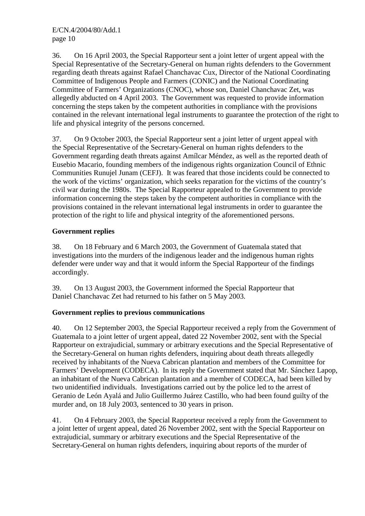36. On 16 April 2003, the Special Rapporteur sent a joint letter of urgent appeal with the Special Representative of the Secretary-General on human rights defenders to the Government regarding death threats against Rafael Chanchavac Cux, Director of the National Coordinating Committee of Indigenous People and Farmers (CONIC) and the National Coordinating Committee of Farmers' Organizations (CNOC), whose son, Daniel Chanchavac Zet, was allegedly abducted on 4 April 2003. The Government was requested to provide information concerning the steps taken by the competent authorities in compliance with the provisions contained in the relevant international legal instruments to guarantee the protection of the right to life and physical integrity of the persons concerned.

37. On 9 October 2003, the Special Rapporteur sent a joint letter of urgent appeal with the Special Representative of the Secretary-General on human rights defenders to the Government regarding death threats against Amílcar Méndez, as well as the reported death of Eusebio Macario, founding members of the indigenous rights organization Council of Ethnic Communities Runujel Junam (CEFJ). It was feared that those incidents could be connected to the work of the victims' organization, which seeks reparation for the victims of the country's civil war during the 1980s. The Special Rapporteur appealed to the Government to provide information concerning the steps taken by the competent authorities in compliance with the provisions contained in the relevant international legal instruments in order to guarantee the protection of the right to life and physical integrity of the aforementioned persons.

# **Government replies**

38. On 18 February and 6 March 2003, the Government of Guatemala stated that investigations into the murders of the indigenous leader and the indigenous human rights defender were under way and that it would inform the Special Rapporteur of the findings accordingly.

39. On 13 August 2003, the Government informed the Special Rapporteur that Daniel Chanchavac Zet had returned to his father on 5 May 2003.

# **Government replies to previous communications**

40. On 12 September 2003, the Special Rapporteur received a reply from the Government of Guatemala to a joint letter of urgent appeal, dated 22 November 2002, sent with the Special Rapporteur on extrajudicial, summary or arbitrary executions and the Special Representative of the Secretary-General on human rights defenders, inquiring about death threats allegedly received by inhabitants of the Nueva Cabrican plantation and members of the Committee for Farmers' Development (CODECA). In its reply the Government stated that Mr. Sánchez Lapop, an inhabitant of the Nueva Cabrican plantation and a member of CODECA, had been killed by two unidentified individuals. Investigations carried out by the police led to the arrest of Geranio de León Ayalá and Julio Guillermo Juárez Castillo, who had been found guilty of the murder and, on 18 July 2003, sentenced to 30 years in prison.

41. On 4 February 2003, the Special Rapporteur received a reply from the Government to a joint letter of urgent appeal, dated 26 November 2002, sent with the Special Rapporteur on extrajudicial, summary or arbitrary executions and the Special Representative of the Secretary-General on human rights defenders, inquiring about reports of the murder of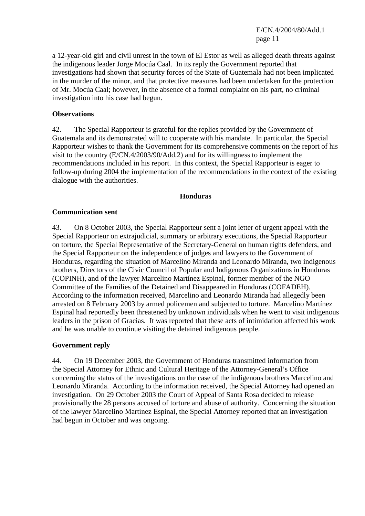E/CN.4/2004/80/Add.1 page 11

a 12-year-old girl and civil unrest in the town of El Estor as well as alleged death threats against the indigenous leader Jorge Mocúa Caal. In its reply the Government reported that investigations had shown that security forces of the State of Guatemala had not been implicated in the murder of the minor, and that protective measures had been undertaken for the protection of Mr. Mocúa Caal; however, in the absence of a formal complaint on his part, no criminal investigation into his case had begun.

#### **Observations**

42. The Special Rapporteur is grateful for the replies provided by the Government of Guatemala and its demonstrated will to cooperate with his mandate. In particular, the Special Rapporteur wishes to thank the Government for its comprehensive comments on the report of his visit to the country (E/CN.4/2003/90/Add.2) and for its willingness to implement the recommendations included in his report. In this context, the Special Rapporteur is eager to follow-up during 2004 the implementation of the recommendations in the context of the existing dialogue with the authorities.

#### **Honduras**

#### **Communication sent**

43. On 8 October 2003, the Special Rapporteur sent a joint letter of urgent appeal with the Special Rapporteur on extrajudicial, summary or arbitrary executions, the Special Rapporteur on torture, the Special Representative of the Secretary-General on human rights defenders, and the Special Rapporteur on the independence of judges and lawyers to the Government of Honduras, regarding the situation of Marcelino Miranda and Leonardo Miranda, two indigenous brothers, Directors of the Civic Council of Popular and Indigenous Organizations in Honduras (COPINH), and of the lawyer Marcelino Martínez Espinal, former member of the NGO Committee of the Families of the Detained and Disappeared in Honduras (COFADEH). According to the information received, Marcelino and Leonardo Miranda had allegedly been arrested on 8 February 2003 by armed policemen and subjected to torture. Marcelino Martínez Espinal had reportedly been threatened by unknown individuals when he went to visit indigenous leaders in the prison of Gracias. It was reported that these acts of intimidation affected his work and he was unable to continue visiting the detained indigenous people.

#### **Government reply**

44. On 19 December 2003, the Government of Honduras transmitted information from the Special Attorney for Ethnic and Cultural Heritage of the Attorney-General's Office concerning the status of the investigations on the case of the indigenous brothers Marcelino and Leonardo Miranda. According to the information received, the Special Attorney had opened an investigation. On 29 October 2003 the Court of Appeal of Santa Rosa decided to release provisionally the 28 persons accused of torture and abuse of authority. Concerning the situation of the lawyer Marcelino Martínez Espinal, the Special Attorney reported that an investigation had begun in October and was ongoing.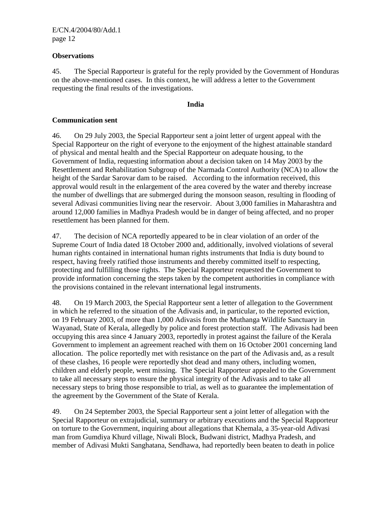## **Observations**

45. The Special Rapporteur is grateful for the reply provided by the Government of Honduras on the above-mentioned cases. In this context, he will address a letter to the Government requesting the final results of the investigations.

#### **India**

## **Communication sent**

46. On 29 July 2003, the Special Rapporteur sent a joint letter of urgent appeal with the Special Rapporteur on the right of everyone to the enjoyment of the highest attainable standard of physical and mental health and the Special Rapporteur on adequate housing, to the Government of India, requesting information about a decision taken on 14 May 2003 by the Resettlement and Rehabilitation Subgroup of the Narmada Control Authority (NCA) to allow the height of the Sardar Sarovar dam to be raised. According to the information received, this approval would result in the enlargement of the area covered by the water and thereby increase the number of dwellings that are submerged during the monsoon season, resulting in flooding of several Adivasi communities living near the reservoir. About 3,000 families in Maharashtra and around 12,000 families in Madhya Pradesh would be in danger of being affected, and no proper resettlement has been planned for them.

47. The decision of NCA reportedly appeared to be in clear violation of an order of the Supreme Court of India dated 18 October 2000 and, additionally, involved violations of several human rights contained in international human rights instruments that India is duty bound to respect, having freely ratified those instruments and thereby committed itself to respecting, protecting and fulfilling those rights. The Special Rapporteur requested the Government to provide information concerning the steps taken by the competent authorities in compliance with the provisions contained in the relevant international legal instruments.

48. On 19 March 2003, the Special Rapporteur sent a letter of allegation to the Government in which he referred to the situation of the Adivasis and, in particular, to the reported eviction, on 19 February 2003, of more than 1,000 Adivasis from the Muthanga Wildlife Sanctuary in Wayanad, State of Kerala, allegedly by police and forest protection staff. The Adivasis had been occupying this area since 4 January 2003, reportedly in protest against the failure of the Kerala Government to implement an agreement reached with them on 16 October 2001 concerning land allocation. The police reportedly met with resistance on the part of the Adivasis and, as a result of these clashes, 16 people were reportedly shot dead and many others, including women, children and elderly people, went missing. The Special Rapporteur appealed to the Government to take all necessary steps to ensure the physical integrity of the Adivasis and to take all necessary steps to bring those responsible to trial, as well as to guarantee the implementation of the agreement by the Government of the State of Kerala.

49. On 24 September 2003, the Special Rapporteur sent a joint letter of allegation with the Special Rapporteur on extrajudicial, summary or arbitrary executions and the Special Rapporteur on torture to the Government, inquiring about allegations that Khemala, a 35-year-old Adivasi man from Gumdiya Khurd village, Niwali Block, Budwani district, Madhya Pradesh, and member of Adivasi Mukti Sanghatana, Sendhawa, had reportedly been beaten to death in police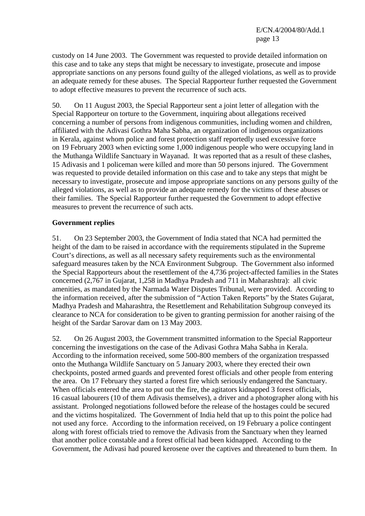custody on 14 June 2003. The Government was requested to provide detailed information on this case and to take any steps that might be necessary to investigate, prosecute and impose appropriate sanctions on any persons found guilty of the alleged violations, as well as to provide an adequate remedy for these abuses. The Special Rapporteur further requested the Government to adopt effective measures to prevent the recurrence of such acts.

50. On 11 August 2003, the Special Rapporteur sent a joint letter of allegation with the Special Rapporteur on torture to the Government, inquiring about allegations received concerning a number of persons from indigenous communities, including women and children, affiliated with the Adivasi Gothra Maha Sabha, an organization of indigenous organizations in Kerala, against whom police and forest protection staff reportedly used excessive force on 19 February 2003 when evicting some 1,000 indigenous people who were occupying land in the Muthanga Wildlife Sanctuary in Wayanad. It was reported that as a result of these clashes, 15 Adivasis and 1 policeman were killed and more than 50 persons injured. The Government was requested to provide detailed information on this case and to take any steps that might be necessary to investigate, prosecute and impose appropriate sanctions on any persons guilty of the alleged violations, as well as to provide an adequate remedy for the victims of these abuses or their families. The Special Rapporteur further requested the Government to adopt effective measures to prevent the recurrence of such acts.

#### **Government replies**

51. On 23 September 2003, the Government of India stated that NCA had permitted the height of the dam to be raised in accordance with the requirements stipulated in the Supreme Court's directions, as well as all necessary safety requirements such as the environmental safeguard measures taken by the NCA Environment Subgroup. The Government also informed the Special Rapporteurs about the resettlement of the 4,736 project-affected families in the States concerned (2,767 in Gujarat, 1,258 in Madhya Pradesh and 711 in Maharashtra): all civic amenities, as mandated by the Narmada Water Disputes Tribunal, were provided. According to the information received, after the submission of "Action Taken Reports" by the States Gujarat, Madhya Pradesh and Maharashtra, the Resettlement and Rehabilitation Subgroup conveyed its clearance to NCA for consideration to be given to granting permission for another raising of the height of the Sardar Sarovar dam on 13 May 2003.

52. On 26 August 2003, the Government transmitted information to the Special Rapporteur concerning the investigations on the case of the Adivasi Gothra Maha Sabha in Kerala. According to the information received, some 500-800 members of the organization trespassed onto the Muthanga Wildlife Sanctuary on 5 January 2003, where they erected their own checkpoints, posted armed guards and prevented forest officials and other people from entering the area. On 17 February they started a forest fire which seriously endangered the Sanctuary. When officials entered the area to put out the fire, the agitators kidnapped 3 forest officials, 16 casual labourers (10 of them Adivasis themselves), a driver and a photographer along with his assistant. Prolonged negotiations followed before the release of the hostages could be secured and the victims hospitalized. The Government of India held that up to this point the police had not used any force. According to the information received, on 19 February a police contingent along with forest officials tried to remove the Adivasis from the Sanctuary when they learned that another police constable and a forest official had been kidnapped. According to the Government, the Adivasi had poured kerosene over the captives and threatened to burn them. In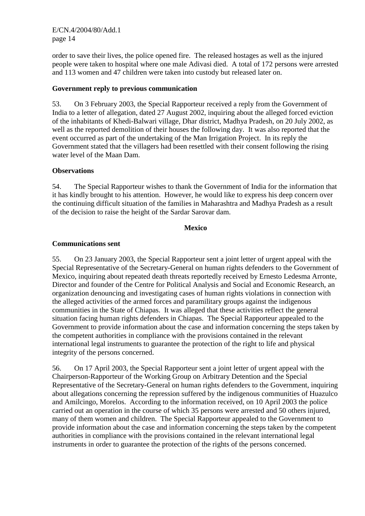E/CN.4/2004/80/Add.1 page 14

order to save their lives, the police opened fire. The released hostages as well as the injured people were taken to hospital where one male Adivasi died. A total of 172 persons were arrested and 113 women and 47 children were taken into custody but released later on.

# **Government reply to previous communication**

53. On 3 February 2003, the Special Rapporteur received a reply from the Government of India to a letter of allegation, dated 27 August 2002, inquiring about the alleged forced eviction of the inhabitants of Khedi-Balwari village, Dhar district, Madhya Pradesh, on 20 July 2002, as well as the reported demolition of their houses the following day. It was also reported that the event occurred as part of the undertaking of the Man Irrigation Project. In its reply the Government stated that the villagers had been resettled with their consent following the rising water level of the Maan Dam.

# **Observations**

54. The Special Rapporteur wishes to thank the Government of India for the information that it has kindly brought to his attention. However, he would like to express his deep concern over the continuing difficult situation of the families in Maharashtra and Madhya Pradesh as a result of the decision to raise the height of the Sardar Sarovar dam.

#### **Mexico**

#### **Communications sent**

55. On 23 January 2003, the Special Rapporteur sent a joint letter of urgent appeal with the Special Representative of the Secretary-General on human rights defenders to the Government of Mexico, inquiring about repeated death threats reportedly received by Ernesto Ledesma Arronte, Director and founder of the Centre for Political Analysis and Social and Economic Research, an organization denouncing and investigating cases of human rights violations in connection with the alleged activities of the armed forces and paramilitary groups against the indigenous communities in the State of Chiapas. It was alleged that these activities reflect the general situation facing human rights defenders in Chiapas. The Special Rapporteur appealed to the Government to provide information about the case and information concerning the steps taken by the competent authorities in compliance with the provisions contained in the relevant international legal instruments to guarantee the protection of the right to life and physical integrity of the persons concerned.

56. On 17 April 2003, the Special Rapporteur sent a joint letter of urgent appeal with the Chairperson-Rapporteur of the Working Group on Arbitrary Detention and the Special Representative of the Secretary-General on human rights defenders to the Government, inquiring about allegations concerning the repression suffered by the indigenous communities of Huazulco and Amilcingo, Morelos. According to the information received, on 10 April 2003 the police carried out an operation in the course of which 35 persons were arrested and 50 others injured, many of them women and children. The Special Rapporteur appealed to the Government to provide information about the case and information concerning the steps taken by the competent authorities in compliance with the provisions contained in the relevant international legal instruments in order to guarantee the protection of the rights of the persons concerned.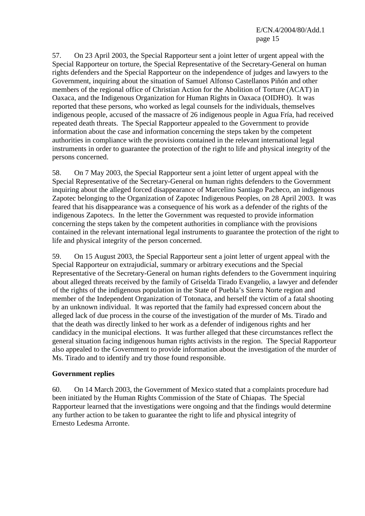E/CN.4/2004/80/Add.1 page 15

57. On 23 April 2003, the Special Rapporteur sent a joint letter of urgent appeal with the Special Rapporteur on torture, the Special Representative of the Secretary-General on human rights defenders and the Special Rapporteur on the independence of judges and lawyers to the Government, inquiring about the situation of Samuel Alfonso Castellanos Piñón and other members of the regional office of Christian Action for the Abolition of Torture (ACAT) in Oaxaca, and the Indigenous Organization for Human Rights in Oaxaca (OIDHO). It was reported that these persons, who worked as legal counsels for the individuals, themselves indigenous people, accused of the massacre of 26 indigenous people in Agua Fría, had received repeated death threats. The Special Rapporteur appealed to the Government to provide information about the case and information concerning the steps taken by the competent authorities in compliance with the provisions contained in the relevant international legal instruments in order to guarantee the protection of the right to life and physical integrity of the persons concerned.

58. On 7 May 2003, the Special Rapporteur sent a joint letter of urgent appeal with the Special Representative of the Secretary-General on human rights defenders to the Government inquiring about the alleged forced disappearance of Marcelino Santiago Pacheco, an indigenous Zapotec belonging to the Organization of Zapotec Indigenous Peoples, on 28 April 2003. It was feared that his disappearance was a consequence of his work as a defender of the rights of the indigenous Zapotecs. In the letter the Government was requested to provide information concerning the steps taken by the competent authorities in compliance with the provisions contained in the relevant international legal instruments to guarantee the protection of the right to life and physical integrity of the person concerned.

59. On 15 August 2003, the Special Rapporteur sent a joint letter of urgent appeal with the Special Rapporteur on extrajudicial, summary or arbitrary executions and the Special Representative of the Secretary-General on human rights defenders to the Government inquiring about alleged threats received by the family of Griselda Tirado Evangelio, a lawyer and defender of the rights of the indigenous population in the State of Puebla's Sierra Norte region and member of the Independent Organization of Totonaca, and herself the victim of a fatal shooting by an unknown individual. It was reported that the family had expressed concern about the alleged lack of due process in the course of the investigation of the murder of Ms. Tirado and that the death was directly linked to her work as a defender of indigenous rights and her candidacy in the municipal elections. It was further alleged that these circumstances reflect the general situation facing indigenous human rights activists in the region. The Special Rapporteur also appealed to the Government to provide information about the investigation of the murder of Ms. Tirado and to identify and try those found responsible.

# **Government replies**

60. On 14 March 2003, the Government of Mexico stated that a complaints procedure had been initiated by the Human Rights Commission of the State of Chiapas. The Special Rapporteur learned that the investigations were ongoing and that the findings would determine any further action to be taken to guarantee the right to life and physical integrity of Ernesto Ledesma Arronte.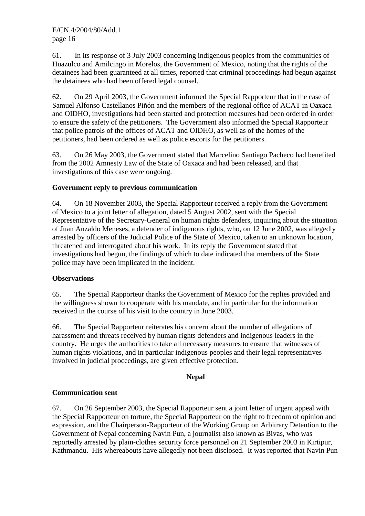61. In its response of 3 July 2003 concerning indigenous peoples from the communities of Huazulco and Amilcingo in Morelos, the Government of Mexico, noting that the rights of the detainees had been guaranteed at all times, reported that criminal proceedings had begun against the detainees who had been offered legal counsel.

62. On 29 April 2003, the Government informed the Special Rapporteur that in the case of Samuel Alfonso Castellanos Piñón and the members of the regional office of ACAT in Oaxaca and OIDHO, investigations had been started and protection measures had been ordered in order to ensure the safety of the petitioners. The Government also informed the Special Rapporteur that police patrols of the offices of ACAT and OIDHO, as well as of the homes of the petitioners, had been ordered as well as police escorts for the petitioners.

63. On 26 May 2003, the Government stated that Marcelino Santiago Pacheco had benefited from the 2002 Amnesty Law of the State of Oaxaca and had been released, and that investigations of this case were ongoing.

# **Government reply to previous communication**

64. On 18 November 2003, the Special Rapporteur received a reply from the Government of Mexico to a joint letter of allegation, dated 5 August 2002, sent with the Special Representative of the Secretary-General on human rights defenders, inquiring about the situation of Juan Anzaldo Meneses, a defender of indigenous rights, who, on 12 June 2002, was allegedly arrested by officers of the Judicial Police of the State of Mexico, taken to an unknown location, threatened and interrogated about his work. In its reply the Government stated that investigations had begun, the findings of which to date indicated that members of the State police may have been implicated in the incident.

# **Observations**

65. The Special Rapporteur thanks the Government of Mexico for the replies provided and the willingness shown to cooperate with his mandate, and in particular for the information received in the course of his visit to the country in June 2003.

66. The Special Rapporteur reiterates his concern about the number of allegations of harassment and threats received by human rights defenders and indigenous leaders in the country. He urges the authorities to take all necessary measures to ensure that witnesses of human rights violations, and in particular indigenous peoples and their legal representatives involved in judicial proceedings, are given effective protection.

# **Nepal**

# **Communication sent**

67. On 26 September 2003, the Special Rapporteur sent a joint letter of urgent appeal with the Special Rapporteur on torture, the Special Rapporteur on the right to freedom of opinion and expression, and the Chairperson-Rapporteur of the Working Group on Arbitrary Detention to the Government of Nepal concerning Navin Pun, a journalist also known as Bivas, who was reportedly arrested by plain-clothes security force personnel on 21 September 2003 in Kirtipur, Kathmandu. His whereabouts have allegedly not been disclosed. It was reported that Navin Pun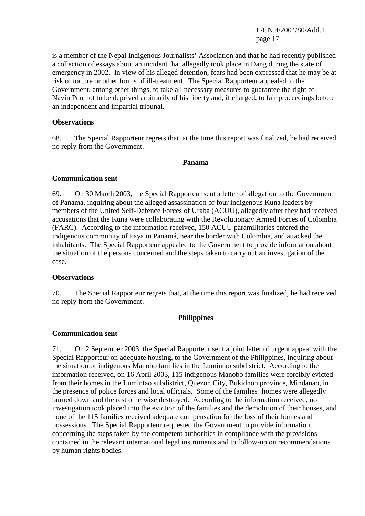E/CN.4/2004/80/Add.1 page 17

is a member of the Nepal Indigenous Journalists' Association and that he had recently published a collection of essays about an incident that allegedly took place in Dang during the state of emergency in 2002. In view of his alleged detention, fears had been expressed that he may be at risk of torture or other forms of ill-treatment. The Special Rapporteur appealed to the Government, among other things, to take all necessary measures to guarantee the right of Navin Pun not to be deprived arbitrarily of his liberty and, if charged, to fair proceedings before an independent and impartial tribunal.

#### **Observations**

68. The Special Rapporteur regrets that, at the time this report was finalized, he had received no reply from the Government.

#### **Panama**

#### **Communication sent**

69. On 30 March 2003, the Special Rapporteur sent a letter of allegation to the Government of Panama, inquiring about the alleged assassination of four indigenous Kuna leaders by members of the United Self-Defence Forces of Urabá (ACUU), allegedly after they had received accusations that the Kuna were collaborating with the Revolutionary Armed Forces of Colombia (FARC). According to the information received, 150 ACUU paramilitaries entered the indigenous community of Paya in Panamá, near the border with Colombia, and attacked the inhabitants. The Special Rapporteur appealed to the Government to provide information about the situation of the persons concerned and the steps taken to carry out an investigation of the case.

#### **Observations**

70. The Special Rapporteur regrets that, at the time this report was finalized, he had received no reply from the Government.

#### **Philippines**

#### **Communication sent**

71. On 2 September 2003, the Special Rapporteur sent a joint letter of urgent appeal with the Special Rapporteur on adequate housing, to the Government of the Philippines, inquiring about the situation of indigenous Manobo families in the Lumintao subdistrict. According to the information received, on 16 April 2003, 115 indigenous Manobo families were forcibly evicted from their homes in the Lumintao subdistrict, Quezon City, Bukidnon province, Mindanao, in the presence of police forces and local officials. Some of the families' homes were allegedly burned down and the rest otherwise destroyed. According to the information received, no investigation took placed into the eviction of the families and the demolition of their houses, and none of the 115 families received adequate compensation for the loss of their homes and possessions. The Special Rapporteur requested the Government to provide information concerning the steps taken by the competent authorities in compliance with the provisions contained in the relevant international legal instruments and to follow-up on recommendations by human rights bodies.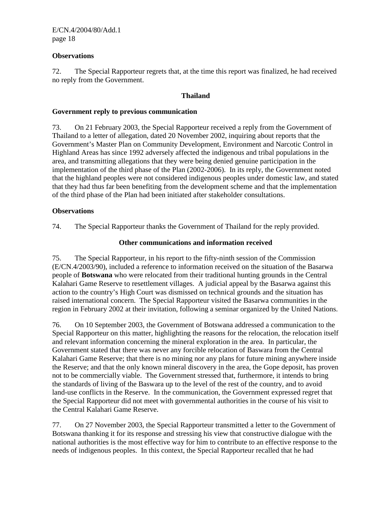## **Observations**

72. The Special Rapporteur regrets that, at the time this report was finalized, he had received no reply from the Government.

## **Thailand**

#### **Government reply to previous communication**

73. On 21 February 2003, the Special Rapporteur received a reply from the Government of Thailand to a letter of allegation, dated 20 November 2002, inquiring about reports that the Government's Master Plan on Community Development, Environment and Narcotic Control in Highland Areas has since 1992 adversely affected the indigenous and tribal populations in the area, and transmitting allegations that they were being denied genuine participation in the implementation of the third phase of the Plan (2002-2006). In its reply, the Government noted that the highland peoples were not considered indigenous peoples under domestic law, and stated that they had thus far been benefiting from the development scheme and that the implementation of the third phase of the Plan had been initiated after stakeholder consultations.

#### **Observations**

74. The Special Rapporteur thanks the Government of Thailand for the reply provided.

# **Other communications and information received**

75. The Special Rapporteur, in his report to the fifty-ninth session of the Commission (E/CN.4/2003/90), included a reference to information received on the situation of the Basarwa people of **Botswana** who were relocated from their traditional hunting grounds in the Central Kalahari Game Reserve to resettlement villages. A judicial appeal by the Basarwa against this action to the country's High Court was dismissed on technical grounds and the situation has raised international concern. The Special Rapporteur visited the Basarwa communities in the region in February 2002 at their invitation, following a seminar organized by the United Nations.

76. On 10 September 2003, the Government of Botswana addressed a communication to the Special Rapporteur on this matter, highlighting the reasons for the relocation, the relocation itself and relevant information concerning the mineral exploration in the area. In particular, the Government stated that there was never any forcible relocation of Baswara from the Central Kalahari Game Reserve; that there is no mining nor any plans for future mining anywhere inside the Reserve; and that the only known mineral discovery in the area, the Gope deposit, has proven not to be commercially viable. The Government stressed that, furthermore, it intends to bring the standards of living of the Baswara up to the level of the rest of the country, and to avoid land-use conflicts in the Reserve. In the communication, the Government expressed regret that the Special Rapporteur did not meet with governmental authorities in the course of his visit to the Central Kalahari Game Reserve.

77. On 27 November 2003, the Special Rapporteur transmitted a letter to the Government of Botswana thanking it for its response and stressing his view that constructive dialogue with the national authorities is the most effective way for him to contribute to an effective response to the needs of indigenous peoples. In this context, the Special Rapporteur recalled that he had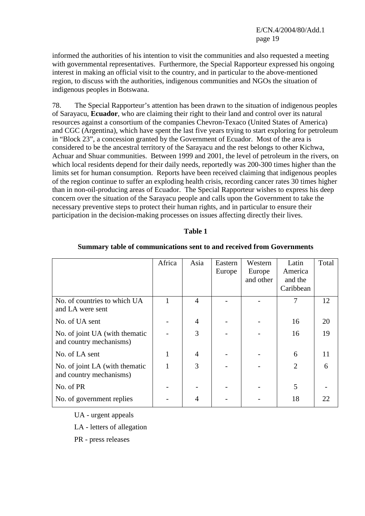informed the authorities of his intention to visit the communities and also requested a meeting with governmental representatives. Furthermore, the Special Rapporteur expressed his ongoing interest in making an official visit to the country, and in particular to the above-mentioned region, to discuss with the authorities, indigenous communities and NGOs the situation of indigenous peoples in Botswana.

78. The Special Rapporteur's attention has been drawn to the situation of indigenous peoples of Sarayacu, **Ecuador**, who are claiming their right to their land and control over its natural resources against a consortium of the companies Chevron-Texaco (United States of America) and CGC (Argentina), which have spent the last five years trying to start exploring for petroleum in "Block 23", a concession granted by the Government of Ecuador. Most of the area is considered to be the ancestral territory of the Sarayacu and the rest belongs to other Kichwa, Achuar and Shuar communities. Between 1999 and 2001, the level of petroleum in the rivers, on which local residents depend for their daily needs, reportedly was 200-300 times higher than the limits set for human consumption. Reports have been received claiming that indigenous peoples of the region continue to suffer an exploding health crisis, recording cancer rates 30 times higher than in non-oil-producing areas of Ecuador. The Special Rapporteur wishes to express his deep concern over the situation of the Sarayacu people and calls upon the Government to take the necessary preventive steps to protect their human rights, and in particular to ensure their participation in the decision-making processes on issues affecting directly their lives.

#### **Table 1**

|                                                            | Africa | Asia           | Eastern<br>Europe | Western<br>Europe<br>and other | Latin<br>America<br>and the<br>Caribbean | Total |
|------------------------------------------------------------|--------|----------------|-------------------|--------------------------------|------------------------------------------|-------|
| No. of countries to which UA<br>and LA were sent           | 1      | $\overline{4}$ |                   |                                | 7                                        | 12    |
| No. of UA sent                                             |        | 4              |                   |                                | 16                                       | 20    |
| No. of joint UA (with the matic<br>and country mechanisms) |        | 3              |                   |                                | 16                                       | 19    |
| No. of LA sent                                             |        | 4              |                   |                                | 6                                        | 11    |
| No. of joint LA (with the matic<br>and country mechanisms) |        | 3              |                   |                                | $\overline{2}$                           | 6     |
| No. of PR                                                  |        |                |                   |                                | 5                                        |       |
| No. of government replies                                  |        | 4              |                   |                                | 18                                       | 22    |

#### **Summary table of communications sent to and received from Governments**

UA - urgent appeals

LA - letters of allegation

PR - press releases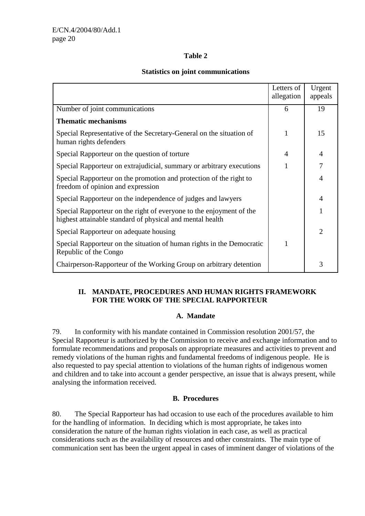# **Table 2**

## **Statistics on joint communications**

|                                                                                                                                  | Letters of<br>allegation | Urgent<br>appeals |
|----------------------------------------------------------------------------------------------------------------------------------|--------------------------|-------------------|
| Number of joint communications                                                                                                   | 6                        | 19                |
| <b>Thematic mechanisms</b>                                                                                                       |                          |                   |
| Special Representative of the Secretary-General on the situation of<br>human rights defenders                                    | 1                        | 15                |
| Special Rapporteur on the question of torture                                                                                    | 4                        | $\overline{4}$    |
| Special Rapporteur on extrajudicial, summary or arbitrary executions                                                             |                          | 7                 |
| Special Rapporteur on the promotion and protection of the right to<br>freedom of opinion and expression                          |                          | 4                 |
| Special Rapporteur on the independence of judges and lawyers                                                                     |                          | 4                 |
| Special Rapporteur on the right of everyone to the enjoyment of the<br>highest attainable standard of physical and mental health |                          |                   |
| Special Rapporteur on adequate housing                                                                                           |                          | $\overline{2}$    |
| Special Rapporteur on the situation of human rights in the Democratic<br>Republic of the Congo                                   |                          |                   |
| Chairperson-Rapporteur of the Working Group on arbitrary detention                                                               |                          | 3                 |

# **II. MANDATE, PROCEDURES AND HUMAN RIGHTS FRAMEWORK FOR THE WORK OF THE SPECIAL RAPPORTEUR**

# **A. Mandate**

79. In conformity with his mandate contained in Commission resolution 2001/57, the Special Rapporteur is authorized by the Commission to receive and exchange information and to formulate recommendations and proposals on appropriate measures and activities to prevent and remedy violations of the human rights and fundamental freedoms of indigenous people. He is also requested to pay special attention to violations of the human rights of indigenous women and children and to take into account a gender perspective, an issue that is always present, while analysing the information received.

# **B. Procedures**

80. The Special Rapporteur has had occasion to use each of the procedures available to him for the handling of information. In deciding which is most appropriate, he takes into consideration the nature of the human rights violation in each case, as well as practical considerations such as the availability of resources and other constraints. The main type of communication sent has been the urgent appeal in cases of imminent danger of violations of the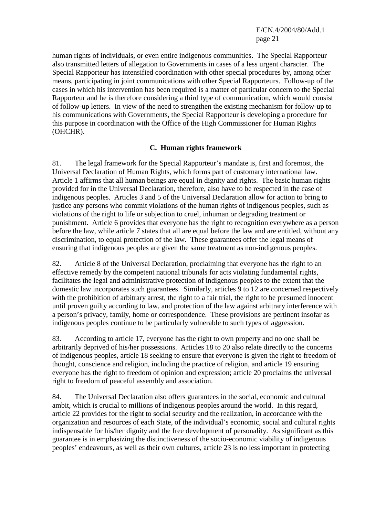E/CN.4/2004/80/Add.1 page 21

human rights of individuals, or even entire indigenous communities. The Special Rapporteur also transmitted letters of allegation to Governments in cases of a less urgent character. The Special Rapporteur has intensified coordination with other special procedures by, among other means, participating in joint communications with other Special Rapporteurs. Follow-up of the cases in which his intervention has been required is a matter of particular concern to the Special Rapporteur and he is therefore considering a third type of communication, which would consist of follow-up letters. In view of the need to strengthen the existing mechanism for follow-up to his communications with Governments, the Special Rapporteur is developing a procedure for this purpose in coordination with the Office of the High Commissioner for Human Rights (OHCHR).

# **C. Human rights framework**

81. The legal framework for the Special Rapporteur's mandate is, first and foremost, the Universal Declaration of Human Rights, which forms part of customary international law. Article 1 affirms that all human beings are equal in dignity and rights. The basic human rights provided for in the Universal Declaration, therefore, also have to be respected in the case of indigenous peoples. Articles 3 and 5 of the Universal Declaration allow for action to bring to justice any persons who commit violations of the human rights of indigenous peoples, such as violations of the right to life or subjection to cruel, inhuman or degrading treatment or punishment. Article 6 provides that everyone has the right to recognition everywhere as a person before the law, while article 7 states that all are equal before the law and are entitled, without any discrimination, to equal protection of the law. These guarantees offer the legal means of ensuring that indigenous peoples are given the same treatment as non-indigenous peoples.

82. Article 8 of the Universal Declaration, proclaiming that everyone has the right to an effective remedy by the competent national tribunals for acts violating fundamental rights, facilitates the legal and administrative protection of indigenous peoples to the extent that the domestic law incorporates such guarantees. Similarly, articles 9 to 12 are concerned respectively with the prohibition of arbitrary arrest, the right to a fair trial, the right to be presumed innocent until proven guilty according to law, and protection of the law against arbitrary interference with a person's privacy, family, home or correspondence. These provisions are pertinent insofar as indigenous peoples continue to be particularly vulnerable to such types of aggression.

83. According to article 17, everyone has the right to own property and no one shall be arbitrarily deprived of his/her possessions. Articles 18 to 20 also relate directly to the concerns of indigenous peoples, article 18 seeking to ensure that everyone is given the right to freedom of thought, conscience and religion, including the practice of religion, and article 19 ensuring everyone has the right to freedom of opinion and expression; article 20 proclaims the universal right to freedom of peaceful assembly and association.

84. The Universal Declaration also offers guarantees in the social, economic and cultural ambit, which is crucial to millions of indigenous peoples around the world. In this regard, article 22 provides for the right to social security and the realization, in accordance with the organization and resources of each State, of the individual's economic, social and cultural rights indispensable for his/her dignity and the free development of personality. As significant as this guarantee is in emphasizing the distinctiveness of the socio-economic viability of indigenous peoples' endeavours, as well as their own cultures, article 23 is no less important in protecting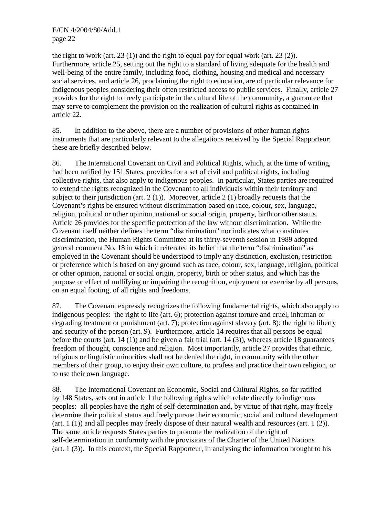E/CN.4/2004/80/Add.1 page 22

the right to work (art.  $23(1)$ ) and the right to equal pay for equal work (art.  $23(2)$ ). Furthermore, article 25, setting out the right to a standard of living adequate for the health and well-being of the entire family, including food, clothing, housing and medical and necessary social services, and article 26, proclaiming the right to education, are of particular relevance for indigenous peoples considering their often restricted access to public services. Finally, article 27 provides for the right to freely participate in the cultural life of the community, a guarantee that may serve to complement the provision on the realization of cultural rights as contained in article 22.

85. In addition to the above, there are a number of provisions of other human rights instruments that are particularly relevant to the allegations received by the Special Rapporteur; these are briefly described below.

86. The International Covenant on Civil and Political Rights, which, at the time of writing, had been ratified by 151 States, provides for a set of civil and political rights, including collective rights, that also apply to indigenous peoples. In particular, States parties are required to extend the rights recognized in the Covenant to all individuals within their territory and subject to their jurisdiction (art.  $2(1)$ ). Moreover, article  $2(1)$  broadly requests that the Covenant's rights be ensured without discrimination based on race, colour, sex, language, religion, political or other opinion, national or social origin, property, birth or other status. Article 26 provides for the specific protection of the law without discrimination. While the Covenant itself neither defines the term "discrimination" nor indicates what constitutes discrimination, the Human Rights Committee at its thirty-seventh session in 1989 adopted general comment No. 18 in which it reiterated its belief that the term "discrimination" as employed in the Covenant should be understood to imply any distinction, exclusion, restriction or preference which is based on any ground such as race, colour, sex, language, religion, political or other opinion, national or social origin, property, birth or other status, and which has the purpose or effect of nullifying or impairing the recognition, enjoyment or exercise by all persons, on an equal footing, of all rights and freedoms.

87. The Covenant expressly recognizes the following fundamental rights, which also apply to indigenous peoples: the right to life (art. 6); protection against torture and cruel, inhuman or degrading treatment or punishment (art. 7); protection against slavery (art. 8); the right to liberty and security of the person (art. 9). Furthermore, article 14 requires that all persons be equal before the courts (art. 14 (1)) and be given a fair trial (art. 14 (3)), whereas article 18 guarantees freedom of thought, conscience and religion. Most importantly, article 27 provides that ethnic, religious or linguistic minorities shall not be denied the right, in community with the other members of their group, to enjoy their own culture, to profess and practice their own religion, or to use their own language.

88. The International Covenant on Economic, Social and Cultural Rights, so far ratified by 148 States, sets out in article 1 the following rights which relate directly to indigenous peoples: all peoples have the right of self-determination and, by virtue of that right, may freely determine their political status and freely pursue their economic, social and cultural development (art. 1 (1)) and all peoples may freely dispose of their natural wealth and resources (art. 1 (2)). The same article requests States parties to promote the realization of the right of self-determination in conformity with the provisions of the Charter of the United Nations (art. 1 (3)). In this context, the Special Rapporteur, in analysing the information brought to his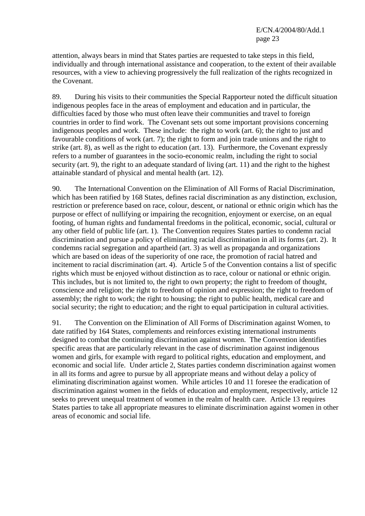attention, always bears in mind that States parties are requested to take steps in this field, individually and through international assistance and cooperation, to the extent of their available resources, with a view to achieving progressively the full realization of the rights recognized in the Covenant.

89. During his visits to their communities the Special Rapporteur noted the difficult situation indigenous peoples face in the areas of employment and education and in particular, the difficulties faced by those who must often leave their communities and travel to foreign countries in order to find work. The Covenant sets out some important provisions concerning indigenous peoples and work. These include: the right to work (art. 6); the right to just and favourable conditions of work (art. 7); the right to form and join trade unions and the right to strike (art. 8), as well as the right to education (art. 13). Furthermore, the Covenant expressly refers to a number of guarantees in the socio-economic realm, including the right to social security (art. 9), the right to an adequate standard of living (art. 11) and the right to the highest attainable standard of physical and mental health (art. 12).

90. The International Convention on the Elimination of All Forms of Racial Discrimination, which has been ratified by 168 States, defines racial discrimination as any distinction, exclusion, restriction or preference based on race, colour, descent, or national or ethnic origin which has the purpose or effect of nullifying or impairing the recognition, enjoyment or exercise, on an equal footing, of human rights and fundamental freedoms in the political, economic, social, cultural or any other field of public life (art. 1). The Convention requires States parties to condemn racial discrimination and pursue a policy of eliminating racial discrimination in all its forms (art. 2). It condemns racial segregation and apartheid (art. 3) as well as propaganda and organizations which are based on ideas of the superiority of one race, the promotion of racial hatred and incitement to racial discrimination (art. 4). Article 5 of the Convention contains a list of specific rights which must be enjoyed without distinction as to race, colour or national or ethnic origin. This includes, but is not limited to, the right to own property; the right to freedom of thought, conscience and religion; the right to freedom of opinion and expression; the right to freedom of assembly; the right to work; the right to housing; the right to public health, medical care and social security; the right to education; and the right to equal participation in cultural activities.

91. The Convention on the Elimination of All Forms of Discrimination against Women, to date ratified by 164 States, complements and reinforces existing international instruments designed to combat the continuing discrimination against women. The Convention identifies specific areas that are particularly relevant in the case of discrimination against indigenous women and girls, for example with regard to political rights, education and employment, and economic and social life. Under article 2, States parties condemn discrimination against women in all its forms and agree to pursue by all appropriate means and without delay a policy of eliminating discrimination against women. While articles 10 and 11 foresee the eradication of discrimination against women in the fields of education and employment, respectively, article 12 seeks to prevent unequal treatment of women in the realm of health care. Article 13 requires States parties to take all appropriate measures to eliminate discrimination against women in other areas of economic and social life.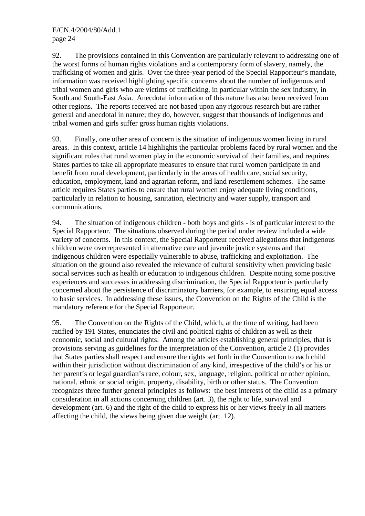92. The provisions contained in this Convention are particularly relevant to addressing one of the worst forms of human rights violations and a contemporary form of slavery, namely, the trafficking of women and girls. Over the three-year period of the Special Rapporteur's mandate, information was received highlighting specific concerns about the number of indigenous and tribal women and girls who are victims of trafficking, in particular within the sex industry, in South and South-East Asia. Anecdotal information of this nature has also been received from other regions. The reports received are not based upon any rigorous research but are rather general and anecdotal in nature; they do, however, suggest that thousands of indigenous and tribal women and girls suffer gross human rights violations.

93. Finally, one other area of concern is the situation of indigenous women living in rural areas. In this context, article 14 highlights the particular problems faced by rural women and the significant roles that rural women play in the economic survival of their families, and requires States parties to take all appropriate measures to ensure that rural women participate in and benefit from rural development, particularly in the areas of health care, social security, education, employment, land and agrarian reform, and land resettlement schemes. The same article requires States parties to ensure that rural women enjoy adequate living conditions, particularly in relation to housing, sanitation, electricity and water supply, transport and communications.

94. The situation of indigenous children - both boys and girls - is of particular interest to the Special Rapporteur. The situations observed during the period under review included a wide variety of concerns. In this context, the Special Rapporteur received allegations that indigenous children were overrepresented in alternative care and juvenile justice systems and that indigenous children were especially vulnerable to abuse, trafficking and exploitation. The situation on the ground also revealed the relevance of cultural sensitivity when providing basic social services such as health or education to indigenous children. Despite noting some positive experiences and successes in addressing discrimination, the Special Rapporteur is particularly concerned about the persistence of discriminatory barriers, for example, to ensuring equal access to basic services. In addressing these issues, the Convention on the Rights of the Child is the mandatory reference for the Special Rapporteur.

95. The Convention on the Rights of the Child, which, at the time of writing, had been ratified by 191 States, enunciates the civil and political rights of children as well as their economic, social and cultural rights. Among the articles establishing general principles, that is provisions serving as guidelines for the interpretation of the Convention, article 2 (1) provides that States parties shall respect and ensure the rights set forth in the Convention to each child within their jurisdiction without discrimination of any kind, irrespective of the child's or his or her parent's or legal guardian's race, colour, sex, language, religion, political or other opinion, national, ethnic or social origin, property, disability, birth or other status. The Convention recognizes three further general principles as follows: the best interests of the child as a primary consideration in all actions concerning children (art. 3), the right to life, survival and development (art. 6) and the right of the child to express his or her views freely in all matters affecting the child, the views being given due weight (art. 12).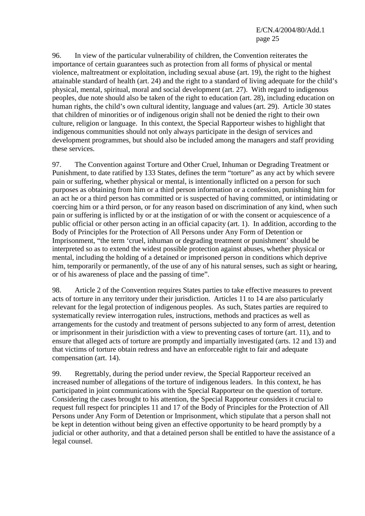96. In view of the particular vulnerability of children, the Convention reiterates the importance of certain guarantees such as protection from all forms of physical or mental violence, maltreatment or exploitation, including sexual abuse (art. 19), the right to the highest attainable standard of health (art. 24) and the right to a standard of living adequate for the child's physical, mental, spiritual, moral and social development (art. 27). With regard to indigenous peoples, due note should also be taken of the right to education (art. 28), including education on human rights, the child's own cultural identity, language and values (art. 29). Article 30 states that children of minorities or of indigenous origin shall not be denied the right to their own culture, religion or language. In this context, the Special Rapporteur wishes to highlight that indigenous communities should not only always participate in the design of services and development programmes, but should also be included among the managers and staff providing these services.

97. The Convention against Torture and Other Cruel, Inhuman or Degrading Treatment or Punishment, to date ratified by 133 States, defines the term "torture" as any act by which severe pain or suffering, whether physical or mental, is intentionally inflicted on a person for such purposes as obtaining from him or a third person information or a confession, punishing him for an act he or a third person has committed or is suspected of having committed, or intimidating or coercing him or a third person, or for any reason based on discrimination of any kind, when such pain or suffering is inflicted by or at the instigation of or with the consent or acquiescence of a public official or other person acting in an official capacity (art. 1). In addition, according to the Body of Principles for the Protection of All Persons under Any Form of Detention or Imprisonment, "the term 'cruel, inhuman or degrading treatment or punishment' should be interpreted so as to extend the widest possible protection against abuses, whether physical or mental, including the holding of a detained or imprisoned person in conditions which deprive him, temporarily or permanently, of the use of any of his natural senses, such as sight or hearing, or of his awareness of place and the passing of time".

98. Article 2 of the Convention requires States parties to take effective measures to prevent acts of torture in any territory under their jurisdiction. Articles 11 to 14 are also particularly relevant for the legal protection of indigenous peoples. As such, States parties are required to systematically review interrogation rules, instructions, methods and practices as well as arrangements for the custody and treatment of persons subjected to any form of arrest, detention or imprisonment in their jurisdiction with a view to preventing cases of torture (art. 11), and to ensure that alleged acts of torture are promptly and impartially investigated (arts. 12 and 13) and that victims of torture obtain redress and have an enforceable right to fair and adequate compensation (art. 14).

99. Regrettably, during the period under review, the Special Rapporteur received an increased number of allegations of the torture of indigenous leaders. In this context, he has participated in joint communications with the Special Rapporteur on the question of torture. Considering the cases brought to his attention, the Special Rapporteur considers it crucial to request full respect for principles 11 and 17 of the Body of Principles for the Protection of All Persons under Any Form of Detention or Imprisonment, which stipulate that a person shall not be kept in detention without being given an effective opportunity to be heard promptly by a judicial or other authority, and that a detained person shall be entitled to have the assistance of a legal counsel.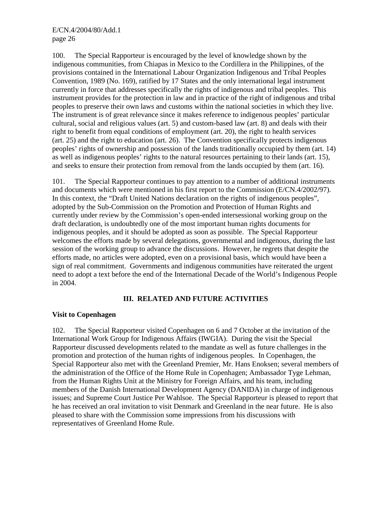100. The Special Rapporteur is encouraged by the level of knowledge shown by the indigenous communities, from Chiapas in Mexico to the Cordillera in the Philippines, of the provisions contained in the International Labour Organization Indigenous and Tribal Peoples Convention, 1989 (No. 169), ratified by 17 States and the only international legal instrument currently in force that addresses specifically the rights of indigenous and tribal peoples. This instrument provides for the protection in law and in practice of the right of indigenous and tribal peoples to preserve their own laws and customs within the national societies in which they live. The instrument is of great relevance since it makes reference to indigenous peoples' particular cultural, social and religious values (art. 5) and custom-based law (art. 8) and deals with their right to benefit from equal conditions of employment (art. 20), the right to health services (art. 25) and the right to education (art. 26). The Convention specifically protects indigenous peoples' rights of ownership and possession of the lands traditionally occupied by them (art. 14) as well as indigenous peoples' rights to the natural resources pertaining to their lands (art. 15), and seeks to ensure their protection from removal from the lands occupied by them (art. 16).

101. The Special Rapporteur continues to pay attention to a number of additional instruments and documents which were mentioned in his first report to the Commission (E/CN.4/2002/97). In this context, the "Draft United Nations declaration on the rights of indigenous peoples", adopted by the Sub-Commission on the Promotion and Protection of Human Rights and currently under review by the Commission's open-ended intersessional working group on the draft declaration, is undoubtedly one of the most important human rights documents for indigenous peoples, and it should be adopted as soon as possible. The Special Rapporteur welcomes the efforts made by several delegations, governmental and indigenous, during the last session of the working group to advance the discussions. However, he regrets that despite the efforts made, no articles were adopted, even on a provisional basis, which would have been a sign of real commitment. Governments and indigenous communities have reiterated the urgent need to adopt a text before the end of the International Decade of the World's Indigenous People in 2004.

# **III. RELATED AND FUTURE ACTIVITIES**

# **Visit to Copenhagen**

102. The Special Rapporteur visited Copenhagen on 6 and 7 October at the invitation of the International Work Group for Indigenous Affairs (IWGIA). During the visit the Special Rapporteur discussed developments related to the mandate as well as future challenges in the promotion and protection of the human rights of indigenous peoples. In Copenhagen, the Special Rapporteur also met with the Greenland Premier, Mr. Hans Enoksen; several members of the administration of the Office of the Home Rule in Copenhagen; Ambassador Tyge Lehman, from the Human Rights Unit at the Ministry for Foreign Affairs, and his team, including members of the Danish International Development Agency (DANIDA) in charge of indigenous issues; and Supreme Court Justice Per Wahlsoe. The Special Rapporteur is pleased to report that he has received an oral invitation to visit Denmark and Greenland in the near future. He is also pleased to share with the Commission some impressions from his discussions with representatives of Greenland Home Rule.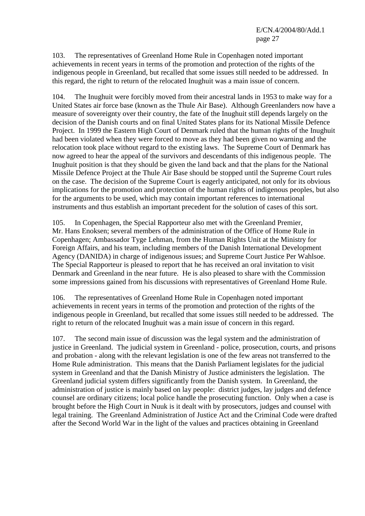103. The representatives of Greenland Home Rule in Copenhagen noted important achievements in recent years in terms of the promotion and protection of the rights of the indigenous people in Greenland, but recalled that some issues still needed to be addressed. In this regard, the right to return of the relocated Inughuit was a main issue of concern.

104. The Inughuit were forcibly moved from their ancestral lands in 1953 to make way for a United States air force base (known as the Thule Air Base). Although Greenlanders now have a measure of sovereignty over their country, the fate of the Inughuit still depends largely on the decision of the Danish courts and on final United States plans for its National Missile Defence Project. In 1999 the Eastern High Court of Denmark ruled that the human rights of the Inughuit had been violated when they were forced to move as they had been given no warning and the relocation took place without regard to the existing laws. The Supreme Court of Denmark has now agreed to hear the appeal of the survivors and descendants of this indigenous people. The Inughuit position is that they should be given the land back and that the plans for the National Missile Defence Project at the Thule Air Base should be stopped until the Supreme Court rules on the case. The decision of the Supreme Court is eagerly anticipated, not only for its obvious implications for the promotion and protection of the human rights of indigenous peoples, but also for the arguments to be used, which may contain important references to international instruments and thus establish an important precedent for the solution of cases of this sort.

105. In Copenhagen, the Special Rapporteur also met with the Greenland Premier, Mr. Hans Enoksen; several members of the administration of the Office of Home Rule in Copenhagen; Ambassador Tyge Lehman, from the Human Rights Unit at the Ministry for Foreign Affairs, and his team, including members of the Danish International Development Agency (DANIDA) in charge of indigenous issues; and Supreme Court Justice Per Wahlsoe. The Special Rapporteur is pleased to report that he has received an oral invitation to visit Denmark and Greenland in the near future. He is also pleased to share with the Commission some impressions gained from his discussions with representatives of Greenland Home Rule.

106. The representatives of Greenland Home Rule in Copenhagen noted important achievements in recent years in terms of the promotion and protection of the rights of the indigenous people in Greenland, but recalled that some issues still needed to be addressed. The right to return of the relocated Inughuit was a main issue of concern in this regard.

107. The second main issue of discussion was the legal system and the administration of justice in Greenland. The judicial system in Greenland - police, prosecution, courts, and prisons and probation - along with the relevant legislation is one of the few areas not transferred to the Home Rule administration. This means that the Danish Parliament legislates for the judicial system in Greenland and that the Danish Ministry of Justice administers the legislation. The Greenland judicial system differs significantly from the Danish system. In Greenland, the administration of justice is mainly based on lay people: district judges, lay judges and defence counsel are ordinary citizens; local police handle the prosecuting function. Only when a case is brought before the High Court in Nuuk is it dealt with by prosecutors, judges and counsel with legal training. The Greenland Administration of Justice Act and the Criminal Code were drafted after the Second World War in the light of the values and practices obtaining in Greenland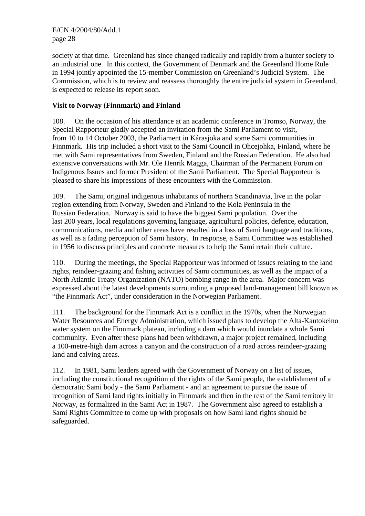society at that time. Greenland has since changed radically and rapidly from a hunter society to an industrial one. In this context, the Government of Denmark and the Greenland Home Rule in 1994 jointly appointed the 15-member Commission on Greenland's Judicial System. The Commission, which is to review and reassess thoroughly the entire judicial system in Greenland, is expected to release its report soon.

# **Visit to Norway (Finnmark) and Finland**

108. On the occasion of his attendance at an academic conference in Tromso, Norway, the Special Rapporteur gladly accepted an invitation from the Sami Parliament to visit, from 10 to 14 October 2003, the Parliament in Kárasjoka and some Sami communities in Finnmark. His trip included a short visit to the Sami Council in Ohcejohka, Finland, where he met with Sami representatives from Sweden, Finland and the Russian Federation. He also had extensive conversations with Mr. Ole Henrik Magga, Chairman of the Permanent Forum on Indigenous Issues and former President of the Sami Parliament. The Special Rapporteur is pleased to share his impressions of these encounters with the Commission.

109. The Sami, original indigenous inhabitants of northern Scandinavia, live in the polar region extending from Norway, Sweden and Finland to the Kola Peninsula in the Russian Federation. Norway is said to have the biggest Sami population. Over the last 200 years, local regulations governing language, agricultural policies, defence, education, communications, media and other areas have resulted in a loss of Sami language and traditions, as well as a fading perception of Sami history. In response, a Sami Committee was established in 1956 to discuss principles and concrete measures to help the Sami retain their culture.

110. During the meetings, the Special Rapporteur was informed of issues relating to the land rights, reindeer-grazing and fishing activities of Sami communities, as well as the impact of a North Atlantic Treaty Organization (NATO) bombing range in the area. Major concern was expressed about the latest developments surrounding a proposed land-management bill known as "the Finnmark Act", under consideration in the Norwegian Parliament.

111. The background for the Finnmark Act is a conflict in the 1970s, when the Norwegian Water Resources and Energy Administration, which issued plans to develop the Alta-Kautokeino water system on the Finnmark plateau, including a dam which would inundate a whole Sami community. Even after these plans had been withdrawn, a major project remained, including a 100-metre-high dam across a canyon and the construction of a road across reindeer-grazing land and calving areas.

112. In 1981, Sami leaders agreed with the Government of Norway on a list of issues, including the constitutional recognition of the rights of the Sami people, the establishment of a democratic Sami body - the Sami Parliament - and an agreement to pursue the issue of recognition of Sami land rights initially in Finnmark and then in the rest of the Sami territory in Norway, as formalized in the Sami Act in 1987. The Government also agreed to establish a Sami Rights Committee to come up with proposals on how Sami land rights should be safeguarded.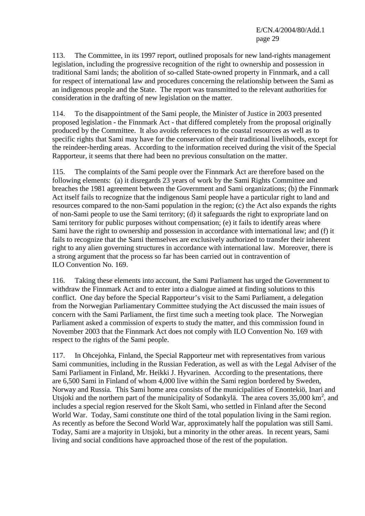113. The Committee, in its 1997 report, outlined proposals for new land-rights management legislation, including the progressive recognition of the right to ownership and possession in traditional Sami lands; the abolition of so-called State-owned property in Finnmark, and a call for respect of international law and procedures concerning the relationship between the Sami as an indigenous people and the State. The report was transmitted to the relevant authorities for consideration in the drafting of new legislation on the matter.

114. To the disappointment of the Sami people, the Minister of Justice in 2003 presented proposed legislation - the Finnmark Act - that differed completely from the proposal originally produced by the Committee. It also avoids references to the coastal resources as well as to specific rights that Sami may have for the conservation of their traditional livelihoods, except for the reindeer-herding areas. According to the information received during the visit of the Special Rapporteur, it seems that there had been no previous consultation on the matter.

115. The complaints of the Sami people over the Finnmark Act are therefore based on the following elements: (a) it disregards 23 years of work by the Sami Rights Committee and breaches the 1981 agreement between the Government and Sami organizations; (b) the Finnmark Act itself fails to recognize that the indigenous Sami people have a particular right to land and resources compared to the non-Sami population in the region; (c) the Act also expands the rights of non-Sami people to use the Sami territory; (d) it safeguards the right to expropriate land on Sami territory for public purposes without compensation; (e) it fails to identify areas where Sami have the right to ownership and possession in accordance with international law; and (f) it fails to recognize that the Sami themselves are exclusively authorized to transfer their inherent right to any alien governing structures in accordance with international law. Moreover, there is a strong argument that the process so far has been carried out in contravention of ILO Convention No. 169.

116. Taking these elements into account, the Sami Parliament has urged the Government to withdraw the Finnmark Act and to enter into a dialogue aimed at finding solutions to this conflict. One day before the Special Rapporteur's visit to the Sami Parliament, a delegation from the Norwegian Parliamentary Committee studying the Act discussed the main issues of concern with the Sami Parliament, the first time such a meeting took place. The Norwegian Parliament asked a commission of experts to study the matter, and this commission found in November 2003 that the Finnmark Act does not comply with ILO Convention No. 169 with respect to the rights of the Sami people.

117. In Ohcejohka, Finland, the Special Rapporteur met with representatives from various Sami communities, including in the Russian Federation, as well as with the Legal Adviser of the Sami Parliament in Finland, Mr. Heikki J. Hyvarinen. According to the presentations, there are 6,500 Sami in Finland of whom 4,000 live within the Sami region bordered by Sweden, Norway and Russia. This Sami home area consists of the municipalities of Enontekiö, Inari and Utsjoki and the northern part of the municipality of Sodankylä. The area covers  $35,000 \text{ km}^2$ , and includes a special region reserved for the Skolt Sami, who settled in Finland after the Second World War. Today, Sami constitute one third of the total population living in the Sami region. As recently as before the Second World War, approximately half the population was still Sami. Today, Sami are a majority in Utsjoki, but a minority in the other areas. In recent years, Sami living and social conditions have approached those of the rest of the population.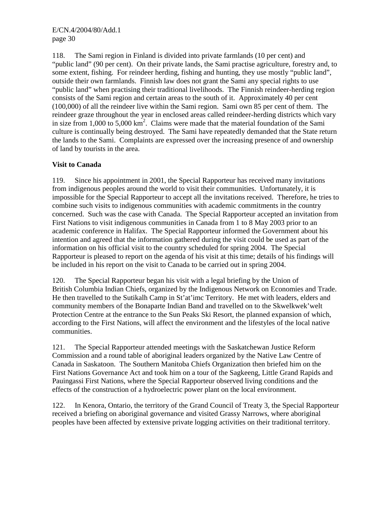118. The Sami region in Finland is divided into private farmlands (10 per cent) and "public land" (90 per cent). On their private lands, the Sami practise agriculture, forestry and, to some extent, fishing. For reindeer herding, fishing and hunting, they use mostly "public land", outside their own farmlands. Finnish law does not grant the Sami any special rights to use "public land" when practising their traditional livelihoods. The Finnish reindeer-herding region consists of the Sami region and certain areas to the south of it. Approximately 40 per cent (100,000) of all the reindeer live within the Sami region. Sami own 85 per cent of them. The reindeer graze throughout the year in enclosed areas called reindeer-herding districts which vary in size from  $1,000$  to  $5,000$  km<sup>2</sup>. Claims were made that the material foundation of the Sami culture is continually being destroyed. The Sami have repeatedly demanded that the State return the lands to the Sami. Complaints are expressed over the increasing presence of and ownership of land by tourists in the area.

# **Visit to Canada**

119. Since his appointment in 2001, the Special Rapporteur has received many invitations from indigenous peoples around the world to visit their communities. Unfortunately, it is impossible for the Special Rapporteur to accept all the invitations received. Therefore, he tries to combine such visits to indigenous communities with academic commitments in the country concerned. Such was the case with Canada. The Special Rapporteur accepted an invitation from First Nations to visit indigenous communities in Canada from 1 to 8 May 2003 prior to an academic conference in Halifax. The Special Rapporteur informed the Government about his intention and agreed that the information gathered during the visit could be used as part of the information on his official visit to the country scheduled for spring 2004. The Special Rapporteur is pleased to report on the agenda of his visit at this time; details of his findings will be included in his report on the visit to Canada to be carried out in spring 2004.

120. The Special Rapporteur began his visit with a legal briefing by the Union of British Columbia Indian Chiefs, organized by the Indigenous Network on Economies and Trade. He then travelled to the Sutikalh Camp in St'at'imc Territory. He met with leaders, elders and community members of the Bonaparte Indian Band and travelled on to the Skwelkwek'welt Protection Centre at the entrance to the Sun Peaks Ski Resort, the planned expansion of which, according to the First Nations, will affect the environment and the lifestyles of the local native communities.

121. The Special Rapporteur attended meetings with the Saskatchewan Justice Reform Commission and a round table of aboriginal leaders organized by the Native Law Centre of Canada in Saskatoon. The Southern Manitoba Chiefs Organization then briefed him on the First Nations Governance Act and took him on a tour of the Sagkeeng, Little Grand Rapids and Pauingassi First Nations, where the Special Rapporteur observed living conditions and the effects of the construction of a hydroelectric power plant on the local environment.

122. In Kenora, Ontario, the territory of the Grand Council of Treaty 3, the Special Rapporteur received a briefing on aboriginal governance and visited Grassy Narrows, where aboriginal peoples have been affected by extensive private logging activities on their traditional territory.